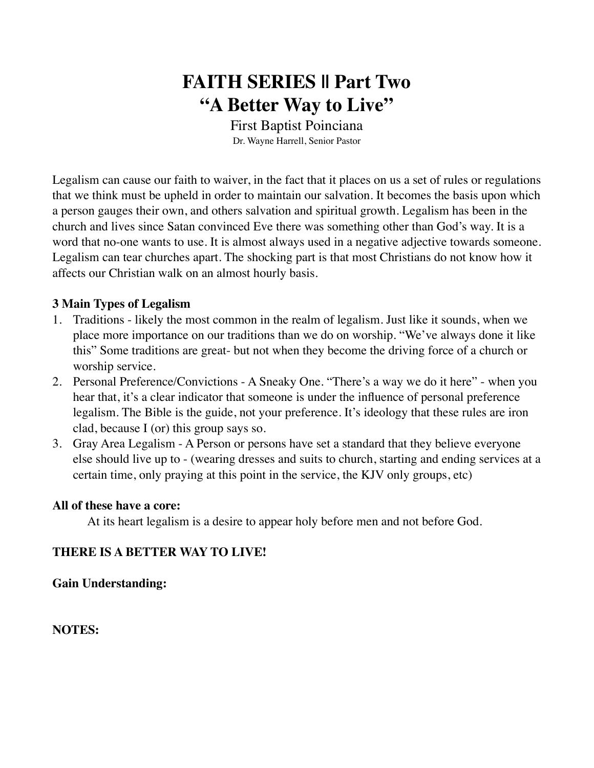# **FAITH SERIES || Part Two "A Better Way to Live"**

First Baptist Poinciana Dr. Wayne Harrell, Senior Pastor

Legalism can cause our faith to waiver, in the fact that it places on us a set of rules or regulations that we think must be upheld in order to maintain our salvation. It becomes the basis upon which a person gauges their own, and others salvation and spiritual growth. Legalism has been in the church and lives since Satan convinced Eve there was something other than God's way. It is a word that no-one wants to use. It is almost always used in a negative adjective towards someone. Legalism can tear churches apart. The shocking part is that most Christians do not know how it affects our Christian walk on an almost hourly basis.

#### **3 Main Types of Legalism**

- 1. Traditions likely the most common in the realm of legalism. Just like it sounds, when we place more importance on our traditions than we do on worship. "We've always done it like this" Some traditions are great- but not when they become the driving force of a church or worship service.
- 2. Personal Preference/Convictions A Sneaky One. "There's a way we do it here" when you hear that, it's a clear indicator that someone is under the influence of personal preference legalism. The Bible is the guide, not your preference. It's ideology that these rules are iron clad, because I (or) this group says so.
- 3. Gray Area Legalism A Person or persons have set a standard that they believe everyone else should live up to - (wearing dresses and suits to church, starting and ending services at a certain time, only praying at this point in the service, the KJV only groups, etc)

#### **All of these have a core:**

At its heart legalism is a desire to appear holy before men and not before God.

#### **THERE IS A BETTER WAY TO LIVE!**

**Gain Understanding:**

**NOTES:**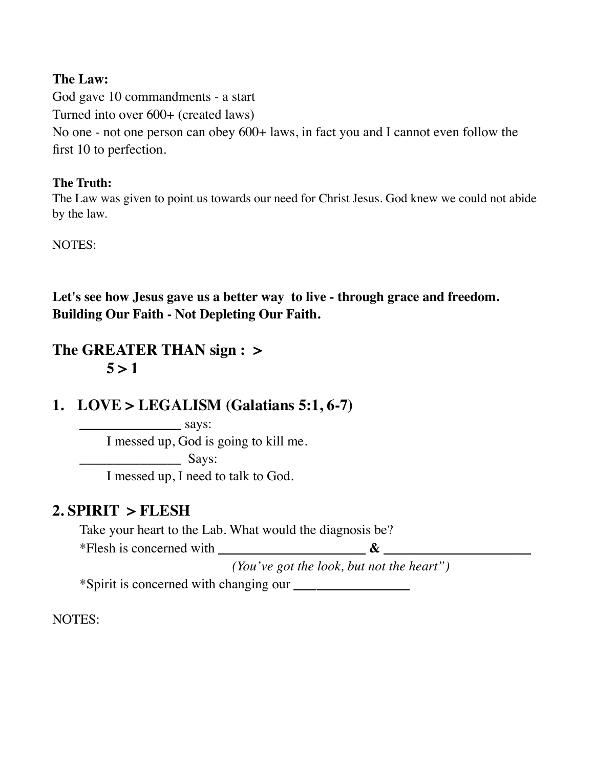### **The Law:**

God gave 10 commandments - a start Turned into over 600+ (created laws) No one - not one person can obey 600+ laws, in fact you and I cannot even follow the first 10 to perfection.

### **The Truth:**

The Law was given to point us towards our need for Christ Jesus. God knew we could not abide by the law.

NOTES:

**Let's see how Jesus gave us a better way to live - through grace and freedom. Building Our Faith - Not Depleting Our Faith.**

# **The GREATER THAN sign : >**   $5 > 1$

# **1. LOVE > LEGALISM (Galatians 5:1, 6-7)**

**\_\_\_\_\_\_\_\_\_\_\_\_\_\_\_** says: I messed up, God is going to kill me.  $Says:$ I messed up, I need to talk to God.

# **2. SPIRIT > FLESH**

Take your heart to the Lab. What would the diagnosis be?

\*Flesh is concerned with  $\infty$ 

*(You've got the look, but not the heart")*

\*Spirit is concerned with changing our **\_\_\_\_\_\_\_\_\_\_\_\_\_\_\_**

NOTES: